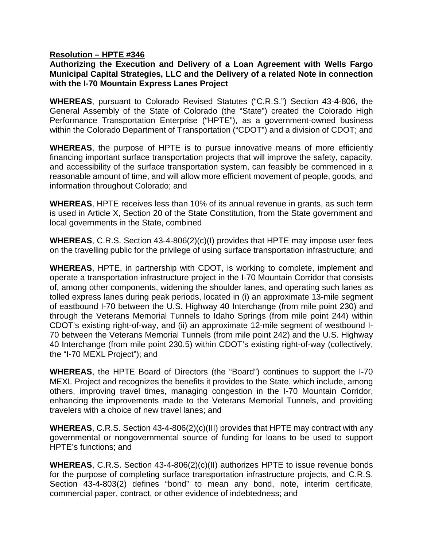## **Resolution – HPTE #346**

## **Authorizing the Execution and Delivery of a Loan Agreement with Wells Fargo Municipal Capital Strategies, LLC and the Delivery of a related Note in connection with the I-70 Mountain Express Lanes Project**

**WHEREAS**, pursuant to Colorado Revised Statutes ("C.R.S.") Section 43-4-806, the General Assembly of the State of Colorado (the "State") created the Colorado High Performance Transportation Enterprise ("HPTE"), as a government-owned business within the Colorado Department of Transportation ("CDOT") and a division of CDOT; and

**WHEREAS**, the purpose of HPTE is to pursue innovative means of more efficiently financing important surface transportation projects that will improve the safety, capacity, and accessibility of the surface transportation system, can feasibly be commenced in a reasonable amount of time, and will allow more efficient movement of people, goods, and information throughout Colorado; and

**WHEREAS**, HPTE receives less than 10% of its annual revenue in grants, as such term is used in Article X, Section 20 of the State Constitution, from the State government and local governments in the State, combined

**WHEREAS**, C.R.S. Section 43-4-806(2)(c)(I) provides that HPTE may impose user fees on the travelling public for the privilege of using surface transportation infrastructure; and

**WHEREAS**, HPTE, in partnership with CDOT, is working to complete, implement and operate a transportation infrastructure project in the I-70 Mountain Corridor that consists of, among other components, widening the shoulder lanes, and operating such lanes as tolled express lanes during peak periods, located in (i) an approximate 13-mile segment of eastbound I-70 between the U.S. Highway 40 Interchange (from mile point 230) and through the Veterans Memorial Tunnels to Idaho Springs (from mile point 244) within CDOT's existing right-of-way, and (ii) an approximate 12-mile segment of westbound I-70 between the Veterans Memorial Tunnels (from mile point 242) and the U.S. Highway 40 Interchange (from mile point 230.5) within CDOT's existing right-of-way (collectively, the "I-70 MEXL Project"); and

**WHEREAS**, the HPTE Board of Directors (the "Board") continues to support the I-70 MEXL Project and recognizes the benefits it provides to the State, which include, among others, improving travel times, managing congestion in the I-70 Mountain Corridor, enhancing the improvements made to the Veterans Memorial Tunnels, and providing travelers with a choice of new travel lanes; and

**WHEREAS**, C.R.S. Section 43-4-806(2)(c)(III) provides that HPTE may contract with any governmental or nongovernmental source of funding for loans to be used to support HPTE's functions; and

**WHEREAS**, C.R.S. Section 43-4-806(2)(c)(II) authorizes HPTE to issue revenue bonds for the purpose of completing surface transportation infrastructure projects, and C.R.S. Section 43-4-803(2) defines "bond" to mean any bond, note, interim certificate, commercial paper, contract, or other evidence of indebtedness; and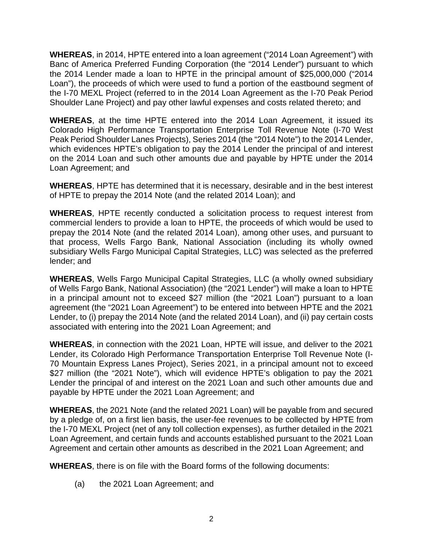**WHEREAS**, in 2014, HPTE entered into a loan agreement ("2014 Loan Agreement") with Banc of America Preferred Funding Corporation (the "2014 Lender") pursuant to which the 2014 Lender made a loan to HPTE in the principal amount of \$25,000,000 ("2014 Loan"), the proceeds of which were used to fund a portion of the eastbound segment of the I-70 MEXL Project (referred to in the 2014 Loan Agreement as the I-70 Peak Period Shoulder Lane Project) and pay other lawful expenses and costs related thereto; and

**WHEREAS**, at the time HPTE entered into the 2014 Loan Agreement, it issued its Colorado High Performance Transportation Enterprise Toll Revenue Note (I-70 West Peak Period Shoulder Lanes Projects), Series 2014 (the "2014 Note") to the 2014 Lender, which evidences HPTE's obligation to pay the 2014 Lender the principal of and interest on the 2014 Loan and such other amounts due and payable by HPTE under the 2014 Loan Agreement; and

**WHEREAS**, HPTE has determined that it is necessary, desirable and in the best interest of HPTE to prepay the 2014 Note (and the related 2014 Loan); and

**WHEREAS**, HPTE recently conducted a solicitation process to request interest from commercial lenders to provide a loan to HPTE, the proceeds of which would be used to prepay the 2014 Note (and the related 2014 Loan), among other uses, and pursuant to that process, Wells Fargo Bank, National Association (including its wholly owned subsidiary Wells Fargo Municipal Capital Strategies, LLC) was selected as the preferred lender; and

**WHEREAS**, Wells Fargo Municipal Capital Strategies, LLC (a wholly owned subsidiary of Wells Fargo Bank, National Association) (the "2021 Lender") will make a loan to HPTE in a principal amount not to exceed \$27 million (the "2021 Loan") pursuant to a loan agreement (the "2021 Loan Agreement") to be entered into between HPTE and the 2021 Lender, to (i) prepay the 2014 Note (and the related 2014 Loan), and (ii) pay certain costs associated with entering into the 2021 Loan Agreement; and

**WHEREAS**, in connection with the 2021 Loan, HPTE will issue, and deliver to the 2021 Lender, its Colorado High Performance Transportation Enterprise Toll Revenue Note (I-70 Mountain Express Lanes Project), Series 2021, in a principal amount not to exceed \$27 million (the "2021 Note"), which will evidence HPTE's obligation to pay the 2021 Lender the principal of and interest on the 2021 Loan and such other amounts due and payable by HPTE under the 2021 Loan Agreement; and

**WHEREAS**, the 2021 Note (and the related 2021 Loan) will be payable from and secured by a pledge of, on a first lien basis, the user-fee revenues to be collected by HPTE from the I-70 MEXL Project (net of any toll collection expenses), as further detailed in the 2021 Loan Agreement, and certain funds and accounts established pursuant to the 2021 Loan Agreement and certain other amounts as described in the 2021 Loan Agreement; and

**WHEREAS**, there is on file with the Board forms of the following documents:

(a) the 2021 Loan Agreement; and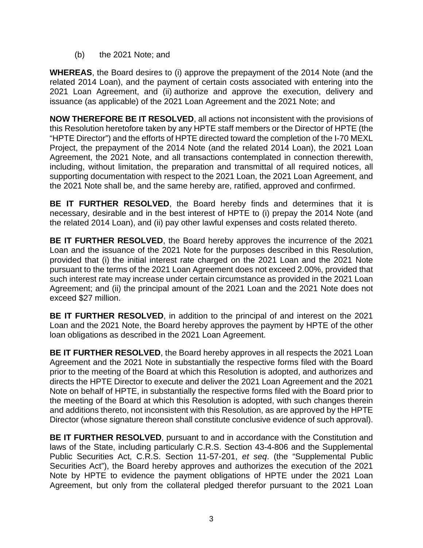(b) the 2021 Note; and

**WHEREAS**, the Board desires to (i) approve the prepayment of the 2014 Note (and the related 2014 Loan), and the payment of certain costs associated with entering into the 2021 Loan Agreement, and (ii) authorize and approve the execution, delivery and issuance (as applicable) of the 2021 Loan Agreement and the 2021 Note; and

**NOW THEREFORE BE IT RESOLVED**, all actions not inconsistent with the provisions of this Resolution heretofore taken by any HPTE staff members or the Director of HPTE (the "HPTE Director") and the efforts of HPTE directed toward the completion of the I-70 MEXL Project, the prepayment of the 2014 Note (and the related 2014 Loan), the 2021 Loan Agreement, the 2021 Note, and all transactions contemplated in connection therewith, including, without limitation, the preparation and transmittal of all required notices, all supporting documentation with respect to the 2021 Loan, the 2021 Loan Agreement, and the 2021 Note shall be, and the same hereby are, ratified, approved and confirmed.

**BE IT FURTHER RESOLVED**, the Board hereby finds and determines that it is necessary, desirable and in the best interest of HPTE to (i) prepay the 2014 Note (and the related 2014 Loan), and (ii) pay other lawful expenses and costs related thereto.

**BE IT FURTHER RESOLVED**, the Board hereby approves the incurrence of the 2021 Loan and the issuance of the 2021 Note for the purposes described in this Resolution, provided that (i) the initial interest rate charged on the 2021 Loan and the 2021 Note pursuant to the terms of the 2021 Loan Agreement does not exceed 2.00%, provided that such interest rate may increase under certain circumstance as provided in the 2021 Loan Agreement; and (ii) the principal amount of the 2021 Loan and the 2021 Note does not exceed \$27 million.

**BE IT FURTHER RESOLVED**, in addition to the principal of and interest on the 2021 Loan and the 2021 Note, the Board hereby approves the payment by HPTE of the other loan obligations as described in the 2021 Loan Agreement.

**BE IT FURTHER RESOLVED**, the Board hereby approves in all respects the 2021 Loan Agreement and the 2021 Note in substantially the respective forms filed with the Board prior to the meeting of the Board at which this Resolution is adopted, and authorizes and directs the HPTE Director to execute and deliver the 2021 Loan Agreement and the 2021 Note on behalf of HPTE, in substantially the respective forms filed with the Board prior to the meeting of the Board at which this Resolution is adopted, with such changes therein and additions thereto, not inconsistent with this Resolution, as are approved by the HPTE Director (whose signature thereon shall constitute conclusive evidence of such approval).

**BE IT FURTHER RESOLVED**, pursuant to and in accordance with the Constitution and laws of the State, including particularly C.R.S. Section 43-4-806 and the Supplemental Public Securities Act, C.R.S. Section 11-57-201, *et seq*. (the "Supplemental Public Securities Act"), the Board hereby approves and authorizes the execution of the 2021 Note by HPTE to evidence the payment obligations of HPTE under the 2021 Loan Agreement, but only from the collateral pledged therefor pursuant to the 2021 Loan